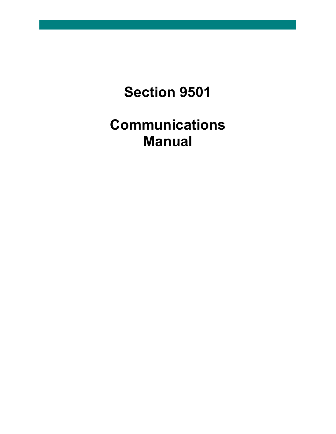# **Section 9501**

# **Communications Manual**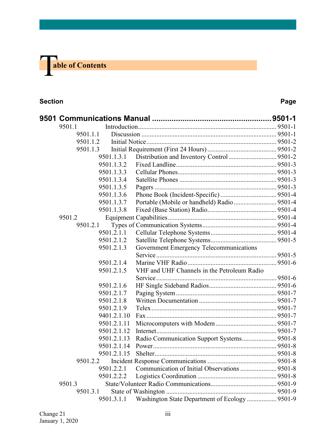

#### **Section Page**

| 9501.1   |             |                                                |  |
|----------|-------------|------------------------------------------------|--|
| 9501.1.1 |             |                                                |  |
| 9501.1.2 |             |                                                |  |
| 9501.1.3 |             |                                                |  |
|          | 9501.1.3.1  |                                                |  |
|          | 9501.1.3.2  |                                                |  |
|          | 9501.1.3.3  |                                                |  |
|          | 9501.1.3.4  |                                                |  |
|          | 9501.1.3.5  |                                                |  |
|          | 9501.1.3.6  |                                                |  |
|          | 9501.1.3.7  |                                                |  |
|          | 9501.1.3.8  |                                                |  |
| 9501.2   |             |                                                |  |
| 9501.2.1 |             |                                                |  |
|          | 9501.2.1.1  |                                                |  |
|          | 9501.2.1.2  |                                                |  |
|          | 9501.2.1.3  | Government Emergency Telecommunications        |  |
|          |             |                                                |  |
|          | 9501.2.1.4  |                                                |  |
|          | 9501.2.1.5  | VHF and UHF Channels in the Petroleum Radio    |  |
|          |             |                                                |  |
|          | 9501.2.1.6  |                                                |  |
|          | 9501.2.1.7  |                                                |  |
|          | 9501.2.1.8  |                                                |  |
|          | 9501.2.1.9  |                                                |  |
|          | 9401.2.1.10 |                                                |  |
|          | 9501.2.1.11 |                                                |  |
|          | 9501.2.1.12 |                                                |  |
|          | 9501.2.1.13 | Radio Communication Support Systems 9501-8     |  |
|          | 9501.2.1.14 |                                                |  |
|          | 9501.2.1.15 |                                                |  |
| 9501.2.2 |             |                                                |  |
|          | 9501.2.2.1  | Communication of Initial Observations  9501-8  |  |
|          | 9501.2.2.2  |                                                |  |
| 9501.3   |             |                                                |  |
| 9501.3.1 |             |                                                |  |
|          | 9501.3.1.1  | Washington State Department of Ecology  9501-9 |  |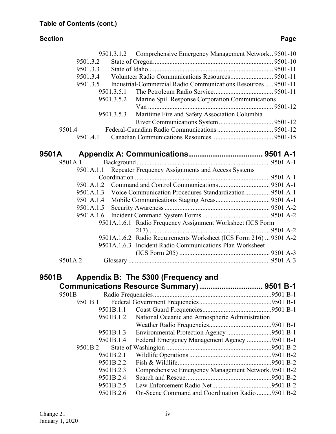### **Section Page**

|       |           |            | 9501.3.1.2 Comprehensive Emergency Management Network 9501-10     |  |
|-------|-----------|------------|-------------------------------------------------------------------|--|
|       | 9501.3.2  |            |                                                                   |  |
|       | 9501.3.3  |            |                                                                   |  |
|       | 9501.3.4  |            |                                                                   |  |
|       | 9501.3.5  |            | Industrial-Commercial Radio Communications Resources  9501-11     |  |
|       |           | 9501.3.5.1 |                                                                   |  |
|       |           | 9501.3.5.2 | Marine Spill Response Corporation Communications                  |  |
|       |           |            |                                                                   |  |
|       |           | 9501.3.5.3 | Maritime Fire and Safety Association Columbia                     |  |
|       |           |            |                                                                   |  |
|       | 9501.4    |            |                                                                   |  |
|       | 9501.4.1  |            |                                                                   |  |
|       |           |            |                                                                   |  |
| 9501A |           |            |                                                                   |  |
|       | 9501A.1   |            |                                                                   |  |
|       | 9501A.1.1 |            | Repeater Frequency Assignments and Access Systems                 |  |
|       |           |            |                                                                   |  |
|       | 9501A.1.2 |            |                                                                   |  |
|       | 9501A.1.3 |            | Voice Communication Procedures Standardization 9501 A-1           |  |
|       | 9501A.1.4 |            |                                                                   |  |
|       | 9501A.1.5 |            |                                                                   |  |
|       | 9501A.1.6 |            |                                                                   |  |
|       |           |            | 9501A.1.6.1 Radio Frequency Assignment Worksheet (ICS Form        |  |
|       |           |            |                                                                   |  |
|       |           |            | 9501A.1.6.2 Radio Requirements Worksheet (ICS Form 216)  9501 A-2 |  |
|       |           |            | 9501A.1.6.3 Incident Radio Communications Plan Worksheet          |  |
|       |           |            |                                                                   |  |
|       | 9501A.2   |            |                                                                   |  |
|       |           |            |                                                                   |  |
| 9501B |           |            | Appendix B: The 5300 (Frequency and                               |  |
|       |           |            | Communications Resource Summary)  9501 B-1                        |  |
|       | 9501B     |            |                                                                   |  |
|       | 9501B.1   |            |                                                                   |  |
|       |           | 9501B.1.1  |                                                                   |  |
|       |           | 9501B.1.2  | National Oceanic and Atmospheric Administration                   |  |
|       |           |            |                                                                   |  |
|       |           |            |                                                                   |  |
|       |           | 9501B.1.3  | Environmental Protection Agency 9501 B-1                          |  |
|       |           | 9501B.1.4  | Federal Emergency Management Agency 9501 B-1                      |  |
|       | 9501B.2   |            |                                                                   |  |
|       |           | 9501B.2.1  |                                                                   |  |
|       |           | 9501B.2.2  |                                                                   |  |
|       |           | 9501B.2.3  | Comprehensive Emergency Management Network.9501 B-2               |  |
|       |           | 9501B.2.4  |                                                                   |  |
|       |           | 9501B.2.5  |                                                                   |  |
|       |           | 9501B.2.6  | On-Scene Command and Coordination Radio 9501 B-2                  |  |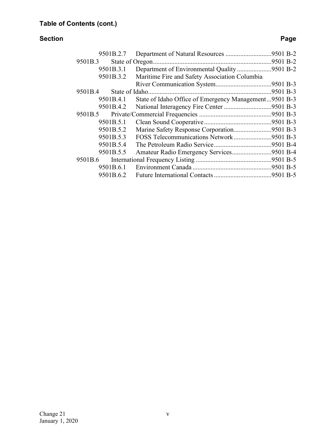#### **Section Page**

| 9501B.2.7 | Department of Natural Resources 9501 B-2              |  |
|-----------|-------------------------------------------------------|--|
| 9501B.3   |                                                       |  |
| 9501B.3.1 | Department of Environmental Quality9501 B-2           |  |
| 9501B.3.2 | Maritime Fire and Safety Association Columbia         |  |
|           |                                                       |  |
| 9501B.4   |                                                       |  |
| 9501B.4.1 | State of Idaho Office of Emergency Management9501 B-3 |  |
| 9501B.4.2 | National Interagency Fire Center 9501 B-3             |  |
| 9501B.5   |                                                       |  |
| 9501B.5.1 |                                                       |  |
| 9501B.5.2 | Marine Safety Response Corporation9501 B-3            |  |
| 9501B.5.3 | FOSS Telecommunications Network9501 B-3               |  |
| 9501B.5.4 |                                                       |  |
| 9501B.5.5 | Amateur Radio Emergency Services9501 B-4              |  |
| 9501B.6   |                                                       |  |
| 9501B.6.1 |                                                       |  |
| 9501B.6.2 |                                                       |  |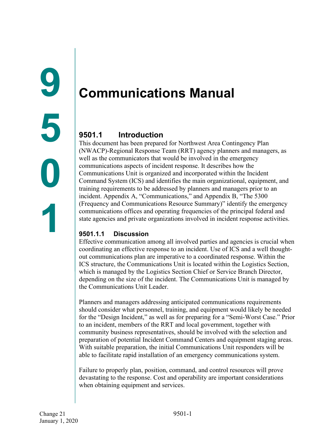## <span id="page-4-2"></span><span id="page-4-1"></span><span id="page-4-0"></span>**9501.1 Introduction**

This document has been prepared for Northwest Area Contingency Plan (NWACP)-Regional Response Team (RRT) agency planners and managers, as well as the communicators that would be involved in the emergency communications aspects of incident response. It describes how the Communications Unit is organized and incorporated within the Incident Command System (ICS) and identifies the main organizational, equipment, and training requirements to be addressed by planners and managers prior to an incident. Appendix A, "Communications," and Appendix B, "The 5300 (Frequency and Communications Resource Summary)" identify the emergency communications offices and operating frequencies of the principal federal and state agencies and private organizations involved in incident response activities.

### <span id="page-4-3"></span>**9501.1.1 Discussion**

Effective communication among all involved parties and agencies is crucial when coordinating an effective response to an incident. Use of ICS and a well thoughtout communications plan are imperative to a coordinated response. Within the ICS structure, the Communications Unit is located within the Logistics Section, which is managed by the Logistics Section Chief or Service Branch Director, depending on the size of the incident. The Communications Unit is managed by the Communications Unit Leader.

Planners and managers addressing anticipated communications requirements should consider what personnel, training, and equipment would likely be needed for the "Design Incident," as well as for preparing for a "Semi-Worst Case." Prior to an incident, members of the RRT and local government, together with community business representatives, should be involved with the selection and preparation of potential Incident Command Centers and equipment staging areas. With suitable preparation, the initial Communications Unit responders will be able to facilitate rapid installation of an emergency communications system.

Failure to properly plan, position, command, and control resources will prove devastating to the response. Cost and operability are important considerations when obtaining equipment and services.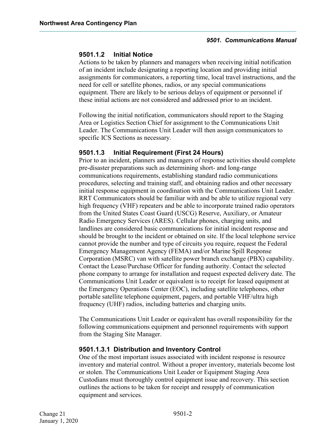#### <span id="page-5-0"></span>**9501.1.2 Initial Notice**

Actions to be taken by planners and managers when receiving initial notification of an incident include designating a reporting location and providing initial assignments for communicators, a reporting time, local travel instructions, and the need for cell or satellite phones, radios, or any special communications equipment. There are likely to be serious delays of equipment or personnel if these initial actions are not considered and addressed prior to an incident.

Following the initial notification, communicators should report to the Staging Area or Logistics Section Chief for assignment to the Communications Unit Leader. The Communications Unit Leader will then assign communicators to specific ICS Sections as necessary.

#### <span id="page-5-1"></span>**9501.1.3 Initial Requirement (First 24 Hours)**

Prior to an incident, planners and managers of response activities should complete pre-disaster preparations such as determining short- and long-range communications requirements, establishing standard radio communications procedures, selecting and training staff, and obtaining radios and other necessary initial response equipment in coordination with the Communications Unit Leader. RRT Communicators should be familiar with and be able to utilize regional very high frequency (VHF) repeaters and be able to incorporate trained radio operators from the United States Coast Guard (USCG) Reserve, Auxiliary, or Amateur Radio Emergency Services (ARES). Cellular phones, charging units, and landlines are considered basic communications for initial incident response and should be brought to the incident or obtained on site. If the local telephone service cannot provide the number and type of circuits you require, request the Federal Emergency Management Agency (FEMA) and/or Marine Spill Response Corporation (MSRC) van with satellite power branch exchange (PBX) capability. Contact the Lease/Purchase Officer for funding authority. Contact the selected phone company to arrange for installation and request expected delivery date. The Communications Unit Leader or equivalent is to receipt for leased equipment at the Emergency Operations Center (EOC), including satellite telephones, other portable satellite telephone equipment, pagers, and portable VHF/ultra high frequency (UHF) radios, including batteries and charging units.

The Communications Unit Leader or equivalent has overall responsibility for the following communications equipment and personnel requirements with support from the Staging Site Manager.

#### <span id="page-5-2"></span>**9501.1.3.1 Distribution and Inventory Control**

One of the most important issues associated with incident response is resource inventory and material control. Without a proper inventory, materials become lost or stolen. The Communications Unit Leader or Equipment Staging Area Custodians must thoroughly control equipment issue and recovery. This section outlines the actions to be taken for receipt and resupply of communication equipment and services.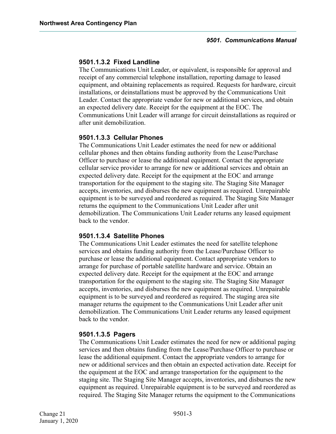#### <span id="page-6-0"></span>**9501.1.3.2 Fixed Landline**

The Communications Unit Leader, or equivalent, is responsible for approval and receipt of any commercial telephone installation, reporting damage to leased equipment, and obtaining replacements as required. Requests for hardware, circuit installations, or deinstallations must be approved by the Communications Unit Leader. Contact the appropriate vendor for new or additional services, and obtain an expected delivery date. Receipt for the equipment at the EOC. The Communications Unit Leader will arrange for circuit deinstallations as required or after unit demobilization.

#### <span id="page-6-1"></span>**9501.1.3.3 Cellular Phones**

The Communications Unit Leader estimates the need for new or additional cellular phones and then obtains funding authority from the Lease/Purchase Officer to purchase or lease the additional equipment. Contact the appropriate cellular service provider to arrange for new or additional services and obtain an expected delivery date. Receipt for the equipment at the EOC and arrange transportation for the equipment to the staging site. The Staging Site Manager accepts, inventories, and disburses the new equipment as required. Unrepairable equipment is to be surveyed and reordered as required. The Staging Site Manager returns the equipment to the Communications Unit Leader after unit demobilization. The Communications Unit Leader returns any leased equipment back to the vendor.

#### <span id="page-6-2"></span>**9501.1.3.4 Satellite Phones**

The Communications Unit Leader estimates the need for satellite telephone services and obtains funding authority from the Lease/Purchase Officer to purchase or lease the additional equipment. Contact appropriate vendors to arrange for purchase of portable satellite hardware and service. Obtain an expected delivery date. Receipt for the equipment at the EOC and arrange transportation for the equipment to the staging site. The Staging Site Manager accepts, inventories, and disburses the new equipment as required. Unrepairable equipment is to be surveyed and reordered as required. The staging area site manager returns the equipment to the Communications Unit Leader after unit demobilization. The Communications Unit Leader returns any leased equipment back to the vendor.

#### <span id="page-6-3"></span>**9501.1.3.5 Pagers**

The Communications Unit Leader estimates the need for new or additional paging services and then obtains funding from the Lease/Purchase Officer to purchase or lease the additional equipment. Contact the appropriate vendors to arrange for new or additional services and then obtain an expected activation date. Receipt for the equipment at the EOC and arrange transportation for the equipment to the staging site. The Staging Site Manager accepts, inventories, and disburses the new equipment as required. Unrepairable equipment is to be surveyed and reordered as required. The Staging Site Manager returns the equipment to the Communications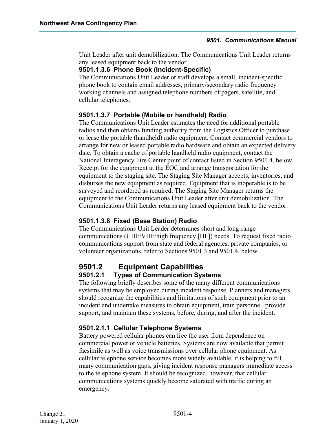Unit Leader after unit demobilization. The Communications Unit Leader returns any leased equipment back to the vendor.

#### <span id="page-7-0"></span>**9501.1.3.6 Phone Book (Incident-Specific)**

The Communications Unit Leader or staff develops a small, incident-specific phone book to contain email addresses, primary/secondary radio frequency working channels and assigned telephone numbers of pagers, satellite, and cellular telephones.

#### <span id="page-7-1"></span>**9501.1.3.7 Portable (Mobile or handheld) Radio**

The Communications Unit Leader estimates the need for additional portable radios and then obtains funding authority from the Logistics Officer to purchase or lease the portable (handheld) radio equipment. Contact commercial vendors to arrange for new or leased portable radio hardware and obtain an expected delivery date. To obtain a cache of portable handheld radio equipment, contact the National Interagency Fire Center point of contact listed in Section 9501.4, below. Receipt for the equipment at the EOC and arrange transportation for the equipment to the staging site. The Staging Site Manager accepts, inventories, and disburses the new equipment as required. Equipment that is inoperable is to be surveyed and reordered as required. The Staging Site Manager returns the equipment to the Communications Unit Leader after unit demobilization. The Communications Unit Leader returns any leased equipment back to the vendor.

#### <span id="page-7-2"></span>**9501.1.3.8 Fixed (Base Station) Radio**

The Communications Unit Leader determines short and long-range communications (UHF/VHF/high frequency [HF]) needs. To request fixed radio communications support from state and federal agencies, private companies, or volunteer organizations, refer to Sections 9501.3 and 9501.4, below.

# <span id="page-7-3"></span>**9501.2 Equipment Capabilities**

#### <span id="page-7-4"></span>**9501.2.1 Types of Communication Systems**

The following briefly describes some of the many different communications systems that may be employed during incident response. Planners and managers should recognize the capabilities and limitations of such equipment prior to an incident and undertake measures to obtain equipment, train personnel, provide support, and maintain these systems, before, during, and after the incident.

#### <span id="page-7-5"></span>**9501.2.1.1 Cellular Telephone Systems**

Battery powered cellular phones can free the user from dependence on commercial power or vehicle batteries. Systems are now available that permit facsimile as well as voice transmissions over cellular phone equipment. As cellular telephone service becomes more widely available, it is helping to fill many communication gaps, giving incident response managers immediate access to the telephone system. It should be recognized, however, that cellular communications systems quickly become saturated with traffic during an emergency.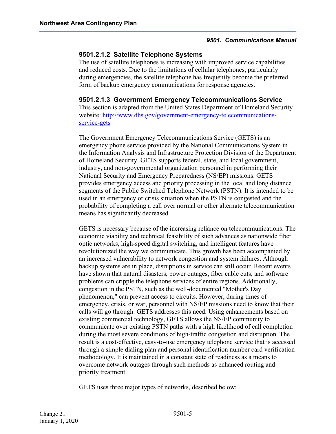#### <span id="page-8-0"></span>**9501.2.1.2 Satellite Telephone Systems**

The use of satellite telephones is increasing with improved service capabilities and reduced costs. Due to the limitations of cellular telephones, particularly during emergencies, the satellite telephone has frequently become the preferred form of backup emergency communications for response agencies.

#### <span id="page-8-1"></span>**9501.2.1.3 Government Emergency Telecommunications Service**

This section is adapted from the United States Department of Homeland Security website: [http://www.dhs.gov/government-emergency-telecommunications](http://www.dhs.gov/government-emergency-telecommunications-service-gets)[service-gets](http://www.dhs.gov/government-emergency-telecommunications-service-gets)

The Government Emergency Telecommunications Service (GETS) is an emergency phone service provided by the National Communications System in the Information Analysis and Infrastructure Protection Division of the Department of Homeland Security. GETS supports federal, state, and local government, industry, and non-governmental organization personnel in performing their National Security and Emergency Preparedness (NS/EP) missions. GETS provides emergency access and priority processing in the local and long distance segments of the Public Switched Telephone Network (PSTN). It is intended to be used in an emergency or crisis situation when the PSTN is congested and the probability of completing a call over normal or other alternate telecommunication means has significantly decreased.

GETS is necessary because of the increasing reliance on telecommunications. The economic viability and technical feasibility of such advances as nationwide fiber optic networks, high-speed digital switching, and intelligent features have revolutionized the way we communicate. This growth has been accompanied by an increased vulnerability to network congestion and system failures. Although backup systems are in place, disruptions in service can still occur. Recent events have shown that natural disasters, power outages, fiber cable cuts, and software problems can cripple the telephone services of entire regions. Additionally, congestion in the PSTN, such as the well-documented "Mother's Day phenomenon," can prevent access to circuits. However, during times of emergency, crisis, or war, personnel with NS/EP missions need to know that their calls will go through. GETS addresses this need. Using enhancements based on existing commercial technology, GETS allows the NS/EP community to communicate over existing PSTN paths with a high likelihood of call completion during the most severe conditions of high-traffic congestion and disruption. The result is a cost-effective, easy-to-use emergency telephone service that is accessed through a simple dialing plan and personal identification number card verification methodology. It is maintained in a constant state of readiness as a means to overcome network outages through such methods as enhanced routing and priority treatment.

GETS uses three major types of networks, described below: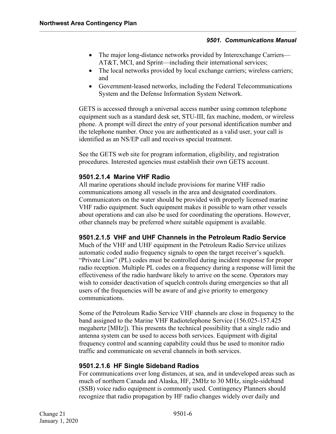- The major long-distance networks provided by Interexchange Carriers— AT&T, MCI, and Sprint—including their international services;
- The local networks provided by local exchange carriers; wireless carriers; and
- Government-leased networks, including the Federal Telecommunications System and the Defense Information System Network.

GETS is accessed through a universal access number using common telephone equipment such as a standard desk set, STU-III, fax machine, modem, or wireless phone. A prompt will direct the entry of your personal identification number and the telephone number. Once you are authenticated as a valid user, your call is identified as an NS/EP call and receives special treatment.

See the GETS web site for program information, eligibility, and registration procedures. Interested agencies must establish their own GETS account.

#### <span id="page-9-0"></span>**9501.2.1.4 Marine VHF Radio**

All marine operations should include provisions for marine VHF radio communications among all vessels in the area and designated coordinators. Communicators on the water should be provided with properly licensed marine VHF radio equipment. Such equipment makes it possible to warn other vessels about operations and can also be used for coordinating the operations. However, other channels may be preferred where suitable equipment is available.

#### <span id="page-9-1"></span>**9501.2.1.5 VHF and UHF Channels in the Petroleum Radio Service**

Much of the VHF and UHF equipment in the Petroleum Radio Service utilizes automatic coded audio frequency signals to open the target receiver's squelch. "Private Line" (PL) codes must be controlled during incident response for proper radio reception. Multiple PL codes on a frequency during a response will limit the effectiveness of the radio hardware likely to arrive on the scene. Operators may wish to consider deactivation of squelch controls during emergencies so that all users of the frequencies will be aware of and give priority to emergency communications.

Some of the Petroleum Radio Service VHF channels are close in frequency to the band assigned to the Marine VHF Radiotelephone Service (156.025-157.425 megahertz [MHz]). This presents the technical possibility that a single radio and antenna system can be used to access both services. Equipment with digital frequency control and scanning capability could thus be used to monitor radio traffic and communicate on several channels in both services.

#### <span id="page-9-2"></span>**9501.2.1.6 HF Single Sideband Radios**

For communications over long distances, at sea, and in undeveloped areas such as much of northern Canada and Alaska, HF, 2MHz to 30 MHz, single-sideband (SSB) voice radio equipment is commonly used. Contingency Planners should recognize that radio propagation by HF radio changes widely over daily and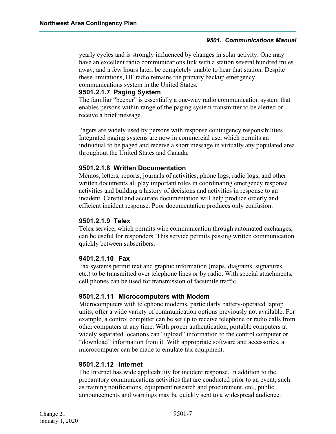yearly cycles and is strongly influenced by changes in solar activity. One may have an excellent radio communications link with a station several hundred miles away, and a few hours later, be completely unable to hear that station. Despite these limitations, HF radio remains the primary backup emergency communications system in the United States.

#### <span id="page-10-0"></span>**9501.2.1.7 Paging System**

The familiar "beeper" is essentially a one-way radio communication system that enables persons within range of the paging system transmitter to be alerted or receive a brief message.

Pagers are widely used by persons with response contingency responsibilities. Integrated paging systems are now in commercial use, which permits an individual to be paged and receive a short message in virtually any populated area throughout the United States and Canada.

#### <span id="page-10-1"></span>**9501.2.1.8 Written Documentation**

Memos, letters, reports, journals of activities, phone logs, radio logs, and other written documents all play important roles in coordinating emergency response activities and building a history of decisions and activities in response to an incident. Careful and accurate documentation will help produce orderly and efficient incident response. Poor documentation produces only confusion.

#### <span id="page-10-2"></span>**9501.2.1.9 Telex**

Telex service, which permits wire communication through automated exchanges, can be useful for responders. This service permits passing written communication quickly between subscribers.

#### <span id="page-10-3"></span>**9401.2.1.10 Fax**

Fax systems permit text and graphic information (maps, diagrams, signatures, etc.) to be transmitted over telephone lines or by radio. With special attachments, cell phones can be used for transmission of facsimile traffic.

#### <span id="page-10-4"></span>**9501.2.1.11 Microcomputers with Modem**

Microcomputers with telephone modems, particularly battery-operated laptop units, offer a wide variety of communication options previously not available. For example, a control computer can be set up to receive telephone or radio calls from other computers at any time. With proper authentication, portable computers at widely separated locations can "upload" information to the control computer or "download" information from it. With appropriate software and accessories, a microcomputer can be made to emulate fax equipment.

#### <span id="page-10-5"></span>**9501.2.1.12 Internet**

The Internet has wide applicability for incident response. In addition to the preparatory communications activities that are conducted prior to an event, such as training notifications, equipment research and procurement, etc., public announcements and warnings may be quickly sent to a widespread audience.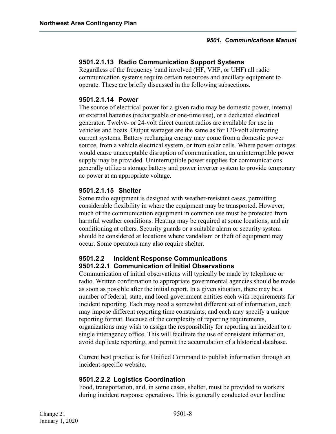#### <span id="page-11-0"></span>**9501.2.1.13 Radio Communication Support Systems**

Regardless of the frequency band involved (HF, VHF, or UHF) all radio communication systems require certain resources and ancillary equipment to operate. These are briefly discussed in the following subsections.

#### <span id="page-11-1"></span>**9501.2.1.14 Power**

The source of electrical power for a given radio may be domestic power, internal or external batteries (rechargeable or one-time use), or a dedicated electrical generator. Twelve- or 24-volt direct current radios are available for use in vehicles and boats. Output wattages are the same as for 120-volt alternating current systems. Battery recharging energy may come from a domestic power source, from a vehicle electrical system, or from solar cells. Where power outages would cause unacceptable disruption of communication, an uninterruptible power supply may be provided. Uninterruptible power supplies for communications generally utilize a storage battery and power inverter system to provide temporary ac power at an appropriate voltage.

#### <span id="page-11-2"></span>**9501.2.1.15 Shelter**

Some radio equipment is designed with weather-resistant cases, permitting considerable flexibility in where the equipment may be transported. However, much of the communication equipment in common use must be protected from harmful weather conditions. Heating may be required at some locations, and air conditioning at others. Security guards or a suitable alarm or security system should be considered at locations where vandalism or theft of equipment may occur. Some operators may also require shelter.

#### <span id="page-11-4"></span><span id="page-11-3"></span>**9501.2.2 Incident Response Communications 9501.2.2.1 Communication of Initial Observations**

Communication of initial observations will typically be made by telephone or radio. Written confirmation to appropriate governmental agencies should be made as soon as possible after the initial report. In a given situation, there may be a number of federal, state, and local government entities each with requirements for incident reporting. Each may need a somewhat different set of information, each may impose different reporting time constraints, and each may specify a unique reporting format. Because of the complexity of reporting requirements, organizations may wish to assign the responsibility for reporting an incident to a single interagency office. This will facilitate the use of consistent information, avoid duplicate reporting, and permit the accumulation of a historical database.

Current best practice is for Unified Command to publish information through an incident-specific website.

#### <span id="page-11-5"></span>**9501.2.2.2 Logistics Coordination**

Food, transportation, and, in some cases, shelter, must be provided to workers during incident response operations. This is generally conducted over landline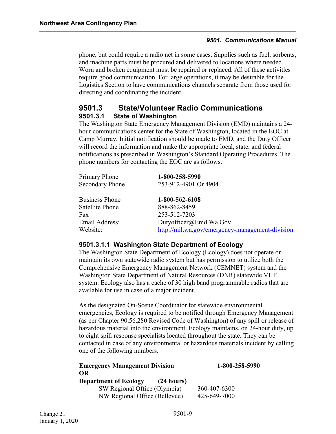phone, but could require a radio net in some cases. Supplies such as fuel, sorbents, and machine parts must be procured and delivered to locations where needed. Worn and broken equipment must be repaired or replaced. All of these activities require good communication. For large operations, it may be desirable for the Logistics Section to have communications channels separate from those used for directing and coordinating the incident.

### <span id="page-12-0"></span>**9501.3 State/Volunteer Radio Communications 9501.3.1 State o**f **Washington**

<span id="page-12-1"></span>The Washington State Emergency Management Division (EMD) maintains a 24 hour communications center for the State of Washington, located in the EOC at Camp Murray. Initial notification should be made to EMD, and the Duty Officer will record the information and make the appropriate local, state, and federal notifications as prescribed in Washington's Standard Operating Procedures. The phone numbers for contacting the EOC are as follows.

| <b>Primary Phone</b>   | 1-800-258-5990                                  |
|------------------------|-------------------------------------------------|
| <b>Secondary Phone</b> | 253-912-4901 Or 4904                            |
|                        |                                                 |
| <b>Business Phone</b>  | 1-800-562-6108                                  |
| Satellite Phone        | 888-862-8459                                    |
| Fax                    | 253-512-7203                                    |
| Email Address:         | Dutyofficer@Emd.Wa.Gov                          |
| Website:               | http://mil.wa.gov/emergency-management-division |

#### <span id="page-12-2"></span>**9501.3.1.1 Washington State Department of Ecology**

The Washington State Department of Ecology (Ecology) does not operate or maintain its own statewide radio system but has permission to utilize both the Comprehensive Emergency Management Network (CEMNET) system and the Washington State Department of Natural Resources (DNR) statewide VHF system. Ecology also has a cache of 30 high band programmable radios that are available for use in case of a major incident.

As the designated On-Scene Coordinator for statewide environmental emergencies, Ecology is required to be notified through Emergency Management (as per Chapter 90.56.280 Revised Code of Washington) of any spill or release of hazardous material into the environment. Ecology maintains, on 24-hour duty, up to eight spill response specialists located throughout the state. They can be contacted in case of any environmental or hazardous materials incident by calling one of the following numbers.

| 1-800-258-5990 |  |
|----------------|--|
|                |  |
|                |  |
| 360-407-6300   |  |
| 425-649-7000   |  |
|                |  |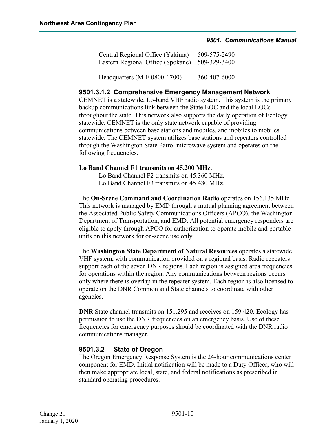| Central Regional Office (Yakima)  | 509-575-2490 |
|-----------------------------------|--------------|
| Eastern Regional Office (Spokane) | 509-329-3400 |
| Headquarters (M-F 0800-1700)      | 360-407-6000 |

#### <span id="page-13-0"></span>**9501.3.1.2 Comprehensive Emergency Management Network**

CEMNET is a statewide, Lo-band VHF radio system. This system is the primary backup communications link between the State EOC and the local EOCs throughout the state. This network also supports the daily operation of Ecology statewide. CEMNET is the only state network capable of providing communications between base stations and mobiles, and mobiles to mobiles statewide. The CEMNET system utilizes base stations and repeaters controlled through the Washington State Patrol microwave system and operates on the following frequencies:

#### **Lo Band Channel F1 transmits on 45.200 MHz.**

Lo Band Channel F2 transmits on 45.360 MHz. Lo Band Channel F3 transmits on 45.480 MHz.

The **On-Scene Command and Coordination Radio** operates on 156.135 MHz. This network is managed by EMD through a mutual planning agreement between the Associated Public Safety Communications Officers (APCO), the Washington Department of Transportation, and EMD. All potential emergency responders are eligible to apply through APCO for authorization to operate mobile and portable units on this network for on-scene use only.

The **Washington State Department of Natural Resources** operates a statewide VHF system, with communication provided on a regional basis. Radio repeaters support each of the seven DNR regions. Each region is assigned area frequencies for operations within the region. Any communications between regions occurs only where there is overlap in the repeater system. Each region is also licensed to operate on the DNR Common and State channels to coordinate with other agencies.

**DNR** State channel transmits on 151.295 and receives on 159.420. Ecology has permission to use the DNR frequencies on an emergency basis. Use of these frequencies for emergency purposes should be coordinated with the DNR radio communications manager.

#### <span id="page-13-1"></span>**9501.3.2 State of Oregon**

The Oregon Emergency Response System is the 24-hour communications center component for EMD. Initial notification will be made to a Duty Officer, who will then make appropriate local, state, and federal notifications as prescribed in standard operating procedures.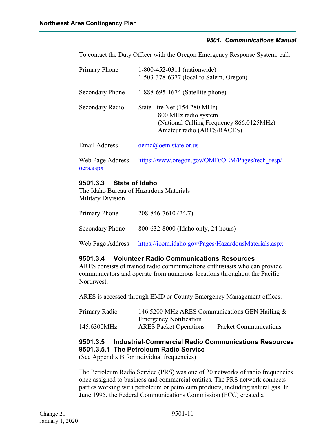To contact the Duty Officer with the Oregon Emergency Response System, call:

| Primary Phone                 | 1-800-452-0311 (nationwide)<br>1-503-378-6377 (local to Salem, Oregon)                                                          |
|-------------------------------|---------------------------------------------------------------------------------------------------------------------------------|
| Secondary Phone               | 1-888-695-1674 (Satellite phone)                                                                                                |
| Secondary Radio               | State Fire Net (154.280 MHz).<br>800 MHz radio system<br>(National Calling Frequency 866.0125MHz)<br>Amateur radio (ARES/RACES) |
| Email Address                 | oemd@oem.state.or.us                                                                                                            |
| Web Page Address<br>oers.aspx | https://www.oregon.gov/OMD/OEM/Pages/tech resp/                                                                                 |

#### <span id="page-14-0"></span>**9501.3.3 State of Idaho**

The Idaho Bureau of Hazardous Materials Military Division

| Primary Phone          | 208-846-7610 (24/7)                                  |
|------------------------|------------------------------------------------------|
| <b>Secondary Phone</b> | 800-632-8000 (Idaho only, 24 hours)                  |
| Web Page Address       | https://ioem.idaho.gov/Pages/HazardousMaterials.aspx |

#### <span id="page-14-1"></span>**9501.3.4 Volunteer Radio Communications Resources**

ARES consists of trained radio communications enthusiasts who can provide communicators and operate from numerous locations throughout the Pacific Northwest.

ARES is accessed through EMD or County Emergency Management offices.

| Primary Radio | 146.5200 MHz ARES Communications GEN Hailing & |                              |  |
|---------------|------------------------------------------------|------------------------------|--|
|               | <b>Emergency Notification</b>                  |                              |  |
| 145.6300MHz   | <b>ARES</b> Packet Operations                  | <b>Packet Communications</b> |  |

#### <span id="page-14-3"></span><span id="page-14-2"></span>**9501.3.5 Industrial-Commercial Radio Communications Resources 9501.3.5.1 The Petroleum Radio Service**

(See Appendix B for individual frequencies)

The Petroleum Radio Service (PRS) was one of 20 networks of radio frequencies once assigned to business and commercial entities. The PRS network connects parties working with petroleum or petroleum products, including natural gas. In June 1995, the Federal Communications Commission (FCC) created a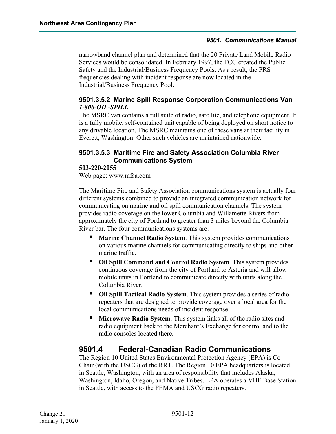narrowband channel plan and determined that the 20 Private Land Mobile Radio Services would be consolidated. In February 1997, the FCC created the Public Safety and the Industrial/Business Frequency Pools. As a result, the PRS frequencies dealing with incident response are now located in the Industrial/Business Frequency Pool.

#### <span id="page-15-0"></span>**9501.3.5.2 Marine Spill Response Corporation Communications Van** *1-800-OIL-SPILL*

The MSRC van contains a full suite of radio, satellite, and telephone equipment. It is a fully mobile, self-contained unit capable of being deployed on short notice to any drivable location. The MSRC maintains one of these vans at their facility in Everett, Washington. Other such vehicles are maintained nationwide.

#### <span id="page-15-1"></span>**9501.3.5.3 Maritime Fire and Safety Association Columbia River Communications System**

#### **503-220-2055**

Web page: www.mfsa.com

The Maritime Fire and Safety Association communications system is actually four different systems combined to provide an integrated communication network for communicating on marine and oil spill communication channels. The system provides radio coverage on the lower Columbia and Willamette Rivers from approximately the city of Portland to greater than 3 miles beyond the Columbia River bar. The four communications systems are:

- **Marine Channel Radio System**. This system provides communications on various marine channels for communicating directly to ships and other marine traffic.
- **Oil Spill Command and Control Radio System**. This system provides continuous coverage from the city of Portland to Astoria and will allow mobile units in Portland to communicate directly with units along the Columbia River.
- **Oil Spill Tactical Radio System**. This system provides a series of radio repeaters that are designed to provide coverage over a local area for the local communications needs of incident response.
- **Microwave Radio System**. This system links all of the radio sites and radio equipment back to the Merchant's Exchange for control and to the radio consoles located there.

### <span id="page-15-2"></span>**9501.4 Federal-Canadian Radio Communications**

The Region 10 United States Environmental Protection Agency (EPA) is Co-Chair (with the USCG) of the RRT. The Region 10 EPA headquarters is located in Seattle, Washington, with an area of responsibility that includes Alaska, Washington, Idaho, Oregon, and Native Tribes. EPA operates a VHF Base Station in Seattle, with access to the FEMA and USCG radio repeaters.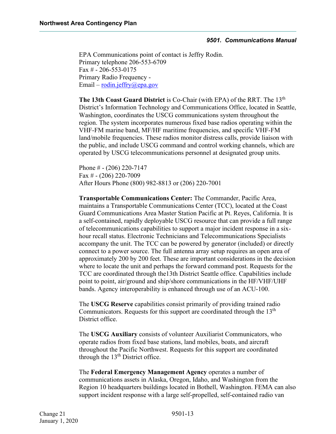EPA Communications point of contact is Jeffry Rodin. Primary telephone 206-553-6709 Fax # - 206-553-0175 Primary Radio Frequency Email – [rodin.jeffry@epa.gov](mailto:rodin.jeffry@epa.gov)

**The 13th Coast Guard District** is Co-Chair (with EPA) of the RRT. The 13<sup>th</sup> District's Information Technology and Communications Office, located in Seattle, Washington, coordinates the USCG communications system throughout the region. The system incorporates numerous fixed base radios operating within the VHF-FM marine band, MF/HF maritime frequencies, and specific VHF-FM land/mobile frequencies. These radios monitor distress calls, provide liaison with the public, and include USCG command and control working channels, which are operated by USCG telecommunications personnel at designated group units.

Phone  $\#$  - (206) 220-7147 Fax  $\#$  - (206) 220-7009 After Hours Phone (800) 982-8813 or (206) 220-7001

**Transportable Communications Center:** The Commander, Pacific Area, maintains a Transportable Communications Center (TCC), located at the Coast Guard Communications Area Master Station Pacific at Pt. Reyes, California. It is a self-contained, rapidly deployable USCG resource that can provide a full range of telecommunications capabilities to support a major incident response in a sixhour recall status. Electronic Technicians and Telecommunications Specialists accompany the unit. The TCC can be powered by generator (included) or directly connect to a power source. The full antenna array setup requires an open area of approximately 200 by 200 feet. These are important considerations in the decision where to locate the unit and perhaps the forward command post. Requests for the TCC are coordinated through the13th District Seattle office. Capabilities include point to point, air/ground and ship/shore communications in the HF/VHF/UHF bands. Agency interoperability is enhanced through use of an ACU-100.

The **USCG Reserve** capabilities consist primarily of providing trained radio Communicators. Requests for this support are coordinated through the  $13<sup>th</sup>$ District office.

The **USCG Auxiliary** consists of volunteer Auxiliarist Communicators, who operate radios from fixed base stations, land mobiles, boats, and aircraft throughout the Pacific Northwest. Requests for this support are coordinated through the  $13<sup>th</sup>$  District office.

The **Federal Emergency Management Agency** operates a number of communications assets in Alaska, Oregon, Idaho, and Washington from the Region 10 headquarters buildings located in Bothell, Washington. FEMA can also support incident response with a large self-propelled, self-contained radio van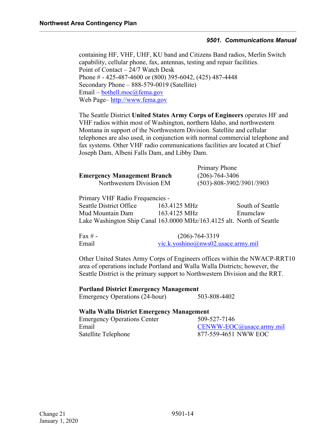containing HF, VHF, UHF, KU band and Citizens Band radios, Merlin Switch capability, cellular phone, fax, antennas, testing and repair facilities. Point of Contact – 24/7 Watch Desk Phone # - 425-487-4600 or (800) 395-6042, (425) 487-4448 Secondary Phone – 888-579-0019 (Satellite)  $Email - bothell.moc@fema.gov$  $Email - bothell.moc@fema.gov$ Web Page– [http://www.fema.gov](http://www.fema.gov/)

The Seattle District **United States Army Corps of Engineers** operates HF and VHF radios within most of Washington, northern Idaho, and northwestern Montana in support of the Northwestern Division. Satellite and cellular telephones are also used, in conjunction with normal commercial telephone and fax systems. Other VHF radio communications facilities are located at Chief Joseph Dam, Albeni Falls Dam, and Libby Dam.

|                                    | Primary Phone                  |
|------------------------------------|--------------------------------|
| <b>Emergency Management Branch</b> | $(206) - 764 - 3406$           |
| Northwestern Division EM           | $(503) - 808 - 3902/3901/3903$ |

Primary VHF Radio Frequencies - Seattle District Office 163.4125 MHz South of Seattle Mud Mountain Dam 163.4125 MHz Enumclaw Lake Washington Ship Canal 163.0000 MHz/163.4125 alt. North of Seattle

| Fax $# -$ | $(206) - 764 - 3319$               |
|-----------|------------------------------------|
| Email     | vic.k.yoshino@nws02.usace.army.mil |

Other United States Army Corps of Engineers offices within the NWACP-RRT10 area of operations include Portland and Walla Walla Districts; however, the Seattle District is the primary support to Northwestern Division and the RRT.

**Portland District Emergency Management** Emergency Operations (24-hour) 503-808-4402

#### **Walla Walla District Emergency Management**

Emergency Operations Center 509-527-7146 Email [CENWW-EOC@usace.army.mil](mailto:CENWW-EOC@usace.army.mil) Satellite Telephone 877-559-4651 NWW EOC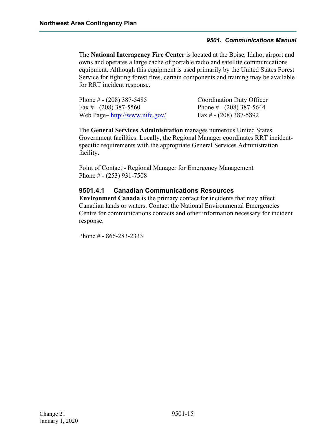The **National Interagency Fire Center** is located at the Boise, Idaho, airport and owns and operates a large cache of portable radio and satellite communications equipment. Although this equipment is used primarily by the United States Forest Service for fighting forest fires, certain components and training may be available for RRT incident response.

| Phone # - (208) 387-5485      | <b>Coordination Duty Officer</b> |
|-------------------------------|----------------------------------|
| Fax # - (208) 387-5560        | Phone # $- (208)$ 387-5644       |
| Web Page-http://www.nifc.gov/ | Fax # $- (208)$ 387-5892         |

The **General Services Administration** manages numerous United States Government facilities. Locally, the Regional Manager coordinates RRT incidentspecific requirements with the appropriate General Services Administration facility.

Point of Contact - Regional Manager for Emergency Management Phone # - (253) 931-7508

#### <span id="page-18-0"></span>**9501.4.1 Canadian Communications Resources**

**Environment Canada** is the primary contact for incidents that may affect Canadian lands or waters. Contact the National Environmental Emergencies Centre for communications contacts and other information necessary for incident response.

Phone # - 866-283-2333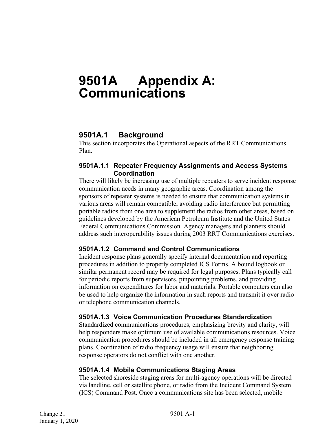## <span id="page-19-0"></span>**9501A Appendix A: Communications**

### <span id="page-19-1"></span>**9501A.1 Background**

This section incorporates the Operational aspects of the RRT Communications Plan.

#### <span id="page-19-2"></span>**9501A.1.1 Repeater Frequency Assignments and Access Systems Coordination**

There will likely be increasing use of multiple repeaters to serve incident response communication needs in many geographic areas. Coordination among the sponsors of repeater systems is needed to ensure that communication systems in various areas will remain compatible, avoiding radio interference but permitting portable radios from one area to supplement the radios from other areas, based on guidelines developed by the American Petroleum Institute and the United States Federal Communications Commission. Agency managers and planners should address such interoperability issues during 2003 RRT Communications exercises.

#### <span id="page-19-3"></span>**9501A.1.2 Command and Control Communications**

Incident response plans generally specify internal documentation and reporting procedures in addition to properly completed ICS Forms. A bound logbook or similar permanent record may be required for legal purposes. Plans typically call for periodic reports from supervisors, pinpointing problems, and providing information on expenditures for labor and materials. Portable computers can also be used to help organize the information in such reports and transmit it over radio or telephone communication channels.

#### <span id="page-19-4"></span>**9501A.1.3 Voice Communication Procedures Standardization**

Standardized communications procedures, emphasizing brevity and clarity, will help responders make optimum use of available communications resources. Voice communication procedures should be included in all emergency response training plans. Coordination of radio frequency usage will ensure that neighboring response operators do not conflict with one another.

#### <span id="page-19-5"></span>**9501A.1.4 Mobile Communications Staging Areas**

The selected shoreside staging areas for multi-agency operations will be directed via landline, cell or satellite phone, or radio from the Incident Command System (ICS) Command Post. Once a communications site has been selected, mobile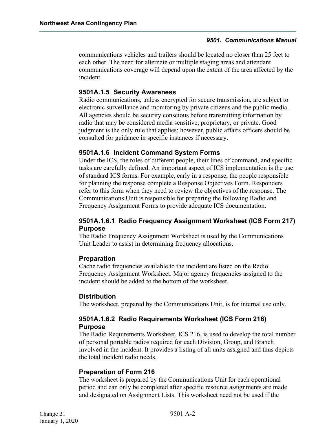communications vehicles and trailers should be located no closer than 25 feet to each other. The need for alternate or multiple staging areas and attendant communications coverage will depend upon the extent of the area affected by the incident.

#### <span id="page-20-0"></span>**9501A.1.5 Security Awareness**

Radio communications, unless encrypted for secure transmission, are subject to electronic surveillance and monitoring by private citizens and the public media. All agencies should be security conscious before transmitting information by radio that may be considered media sensitive, proprietary, or private. Good judgment is the only rule that applies; however, public affairs officers should be consulted for guidance in specific instances if necessary.

#### <span id="page-20-1"></span>**9501A.1.6 Incident Command System Forms**

Under the ICS, the roles of different people, their lines of command, and specific tasks are carefully defined. An important aspect of ICS implementation is the use of standard ICS forms. For example, early in a response, the people responsible for planning the response complete a Response Objectives Form. Responders refer to this form when they need to review the objectives of the response. The Communications Unit is responsible for preparing the following Radio and Frequency Assignment Forms to provide adequate ICS documentation.

#### <span id="page-20-2"></span>**9501A.1.6.1 Radio Frequency Assignment Worksheet (ICS Form 217) Purpose**

The Radio Frequency Assignment Worksheet is used by the Communications Unit Leader to assist in determining frequency allocations.

#### **Preparation**

Cache radio frequencies available to the incident are listed on the Radio Frequency Assignment Worksheet. Major agency frequencies assigned to the incident should be added to the bottom of the worksheet.

#### **Distribution**

The worksheet, prepared by the Communications Unit, is for internal use only.

#### <span id="page-20-3"></span>**9501A.1.6.2 Radio Requirements Worksheet (ICS Form 216) Purpose**

The Radio Requirements Worksheet, ICS 216, is used to develop the total number of personal portable radios required for each Division, Group, and Branch involved in the incident. It provides a listing of all units assigned and thus depicts the total incident radio needs.

#### **Preparation of Form 216**

The worksheet is prepared by the Communications Unit for each operational period and can only be completed after specific resource assignments are made and designated on Assignment Lists. This worksheet need not be used if the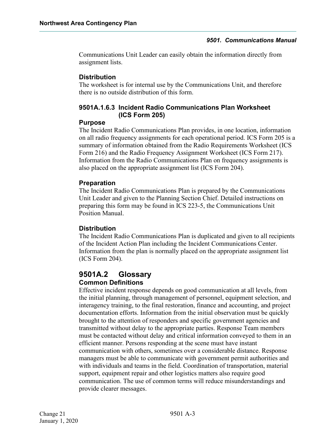Communications Unit Leader can easily obtain the information directly from assignment lists.

#### **Distribution**

The worksheet is for internal use by the Communications Unit, and therefore there is no outside distribution of this form.

#### <span id="page-21-0"></span>**9501A.1.6.3 Incident Radio Communications Plan Worksheet (ICS Form 205)**

#### **Purpose**

The Incident Radio Communications Plan provides, in one location, information on all radio frequency assignments for each operational period. ICS Form 205 is a summary of information obtained from the Radio Requirements Worksheet (ICS Form 216) and the Radio Frequency Assignment Worksheet (ICS Form 217). Information from the Radio Communications Plan on frequency assignments is also placed on the appropriate assignment list (ICS Form 204).

#### **Preparation**

The Incident Radio Communications Plan is prepared by the Communications Unit Leader and given to the Planning Section Chief. Detailed instructions on preparing this form may be found in ICS 223-5, the Communications Unit Position Manual.

#### **Distribution**

The Incident Radio Communications Plan is duplicated and given to all recipients of the Incident Action Plan including the Incident Communications Center. Information from the plan is normally placed on the appropriate assignment list (ICS Form 204).

#### <span id="page-21-1"></span>**9501A.2 Glossary Common Definitions**

Effective incident response depends on good communication at all levels, from the initial planning, through management of personnel, equipment selection, and interagency training, to the final restoration, finance and accounting, and project documentation efforts. Information from the initial observation must be quickly brought to the attention of responders and specific government agencies and transmitted without delay to the appropriate parties. Response Team members must be contacted without delay and critical information conveyed to them in an efficient manner. Persons responding at the scene must have instant communication with others, sometimes over a considerable distance. Response managers must be able to communicate with government permit authorities and with individuals and teams in the field. Coordination of transportation, material support, equipment repair and other logistics matters also require good communication. The use of common terms will reduce misunderstandings and provide clearer messages.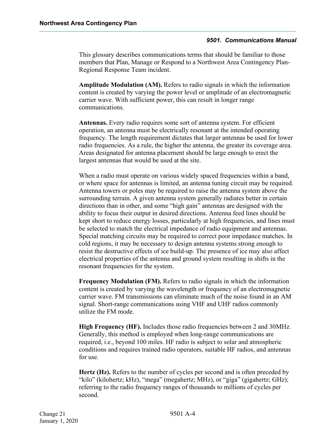This glossary describes communications terms that should be familiar to those members that Plan, Manage or Respond to a Northwest Area Contingency Plan-Regional Response Team incident.

**Amplitude Modulation (AM).** Refers to radio signals in which the information content is created by varying the power level or amplitude of an electromagnetic carrier wave. With sufficient power, this can result in longer range communications.

**Antennas.** Every radio requires some sort of antenna system. For efficient operation, an antenna must be electrically resonant at the intended operating frequency. The length requirement dictates that larger antennas be used for lower radio frequencies. As a rule, the higher the antenna, the greater its coverage area. Areas designated for antenna placement should be large enough to erect the largest antennas that would be used at the site.

When a radio must operate on various widely spaced frequencies within a band, or where space for antennas is limited, an antenna tuning circuit may be required. Antenna towers or poles may be required to raise the antenna system above the surrounding terrain. A given antenna system generally radiates better in certain directions than in other, and some "high gain" antennas are designed with the ability to focus their output in desired directions. Antenna feed lines should be kept short to reduce energy losses, particularly at high frequencies, and lines must be selected to match the electrical impedance of radio equipment and antennas. Special matching circuits may be required to correct poor impedance matches. In cold regions, it may be necessary to design antenna systems strong enough to resist the destructive effects of ice build-up. The presence of ice may also affect electrical properties of the antenna and ground system resulting in shifts in the resonant frequencies for the system.

**Frequency Modulation (FM).** Refers to radio signals in which the information content is created by varying the wavelength or frequency of an electromagnetic carrier wave. FM transmissions can eliminate much of the noise found in an AM signal. Short-range communications using VHF and UHF radios commonly utilize the FM mode.

**High Frequency (HF).** Includes those radio frequencies between 2 and 30MHz. Generally, this method is employed when long-range communications are required, i.e., beyond 100 miles. HF radio is subject to solar and atmospheric conditions and requires trained radio operators, suitable HF radios, and antennas for use.

**Hertz (Hz).** Refers to the number of cycles per second and is often preceded by "kilo" (kilohertz; kHz), "mega" (megahertz; MHz), or "giga" (gigahertz; GHz); referring to the radio frequency ranges of thousands to millions of cycles per second.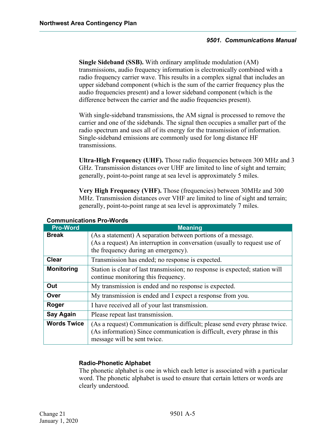**Single Sideband (SSB).** With ordinary amplitude modulation (AM) transmissions, audio frequency information is electronically combined with a radio frequency carrier wave. This results in a complex signal that includes an upper sideband component (which is the sum of the carrier frequency plus the audio frequencies present) and a lower sideband component (which is the difference between the carrier and the audio frequencies present).

With single-sideband transmissions, the AM signal is processed to remove the carrier and one of the sidebands. The signal then occupies a smaller part of the radio spectrum and uses all of its energy for the transmission of information. Single-sideband emissions are commonly used for long distance HF transmissions.

**Ultra-High Frequency (UHF).** Those radio frequencies between 300 MHz and 3 GHz. Transmission distances over UHF are limited to line of sight and terrain; generally, point-to-point range at sea level is approximately 5 miles.

**Very High Frequency (VHF).** Those (frequencies) between 30MHz and 300 MHz. Transmission distances over VHF are limited to line of sight and terrain; generally, point-to-point range at sea level is approximately 7 miles.

| <b>Pro-Word</b>    | <b>Meaning</b>                                                                                                                                                                       |  |
|--------------------|--------------------------------------------------------------------------------------------------------------------------------------------------------------------------------------|--|
| <b>Break</b>       | (As a statement) A separation between portions of a message.<br>(As a request) An interruption in conversation (usually to request use of<br>the frequency during an emergency).     |  |
| <b>Clear</b>       | Transmission has ended; no response is expected.                                                                                                                                     |  |
| <b>Monitoring</b>  | Station is clear of last transmission; no response is expected; station will<br>continue monitoring this frequency.                                                                  |  |
| Out                | My transmission is ended and no response is expected.                                                                                                                                |  |
| Over               | My transmission is ended and I expect a response from you.                                                                                                                           |  |
| Roger              | I have received all of your last transmission.                                                                                                                                       |  |
| <b>Say Again</b>   | Please repeat last transmission.                                                                                                                                                     |  |
| <b>Words Twice</b> | (As a request) Communication is difficult; please send every phrase twice.<br>(As information) Since communication is difficult, every phrase in this<br>message will be sent twice. |  |

#### **Communications Pro-Words**

#### **Radio-Phonetic Alphabet**

The phonetic alphabet is one in which each letter is associated with a particular word. The phonetic alphabet is used to ensure that certain letters or words are clearly understood.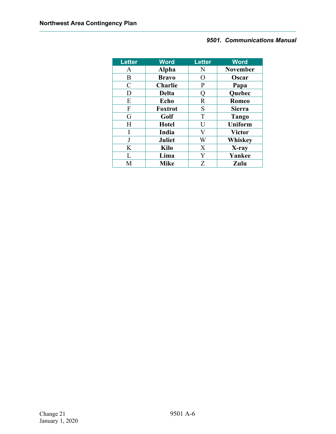| <b>Letter</b> | <b>Word</b>    | <b>Letter</b>    | <b>Word</b>     |
|---------------|----------------|------------------|-----------------|
| A             | <b>Alpha</b>   | N                | <b>November</b> |
| B             | <b>Bravo</b>   | $\left( \right)$ | Oscar           |
| $\mathcal{C}$ | <b>Charlie</b> | P                | Papa            |
| D             | <b>Delta</b>   |                  | Quebec          |
| E             | Echo           | $\mathbb{R}$     | <b>Romeo</b>    |
| F             | <b>Foxtrot</b> | S                | <b>Sierra</b>   |
| G             | Golf           | T                | Tango           |
| H             | <b>Hotel</b>   | U                | <b>Uniform</b>  |
| I             | India          | V                | <b>Victor</b>   |
| J             | <b>Juliet</b>  | W                | Whiskey         |
| K             | <b>Kilo</b>    | X                | X-ray           |
| L             | Lima           | Y                | Yankee          |
| M             | <b>Mike</b>    | Z                | Zulu            |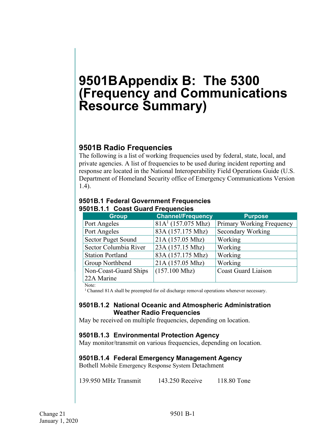## <span id="page-25-0"></span>**9501BAppendix B: The 5300 (Frequency and Communications Resource Summary)**

### <span id="page-25-1"></span>**9501B Radio Frequencies**

The following is a list of working frequencies used by federal, state, local, and private agencies. A list of frequencies to be used during incident reporting and response are located in the National Interoperability Field Operations Guide (U.S. Department of Homeland Security office of Emergency Communications Version 1.4).

<span id="page-25-3"></span>

| <b>Group</b>              | <b>Channel/Frequency</b> | <b>Purpose</b>             |
|---------------------------|--------------------------|----------------------------|
| Port Angeles              | $81A1$ (157.075 Mhz)     | Primary Working Frequency  |
| Port Angeles              | 83A (157.175 Mhz)        | <b>Secondary Working</b>   |
| <b>Sector Puget Sound</b> | 21A (157.05 Mhz)         | Working                    |
| Sector Columbia River     | 23A (157.15 Mhz)         | Working                    |
| <b>Station Portland</b>   | 83A (157.175 Mhz)        | Working                    |
| Group Northbend           | 21A (157.05 Mhz)         | Working                    |
| Non-Coast-Guard Ships     | $(157.100 \text{ Mhz})$  | <b>Coast Guard Liaison</b> |
| 22A Marine                |                          |                            |

#### <span id="page-25-2"></span>**9501B.1 Federal Government Frequencies 9501B.1.1 Coast Guard Frequencies**

Note:

1 Channel 81A shall be preempted for oil discharge removal operations whenever necessary.

#### <span id="page-25-4"></span>**9501B.1.2 National Oceanic and Atmospheric Administration Weather Radio Frequencies**

May be received on multiple frequencies, depending on location.

#### <span id="page-25-5"></span>**9501B.1.3 Environmental Protection Agency**

May monitor/transmit on various frequencies, depending on location.

#### <span id="page-25-6"></span>**9501B.1.4 Federal Emergency Management Agency**

Bothell Mobile Emergency Response System Detachment

139.950 MHz Transmit 143.250 Receive 118.80 Tone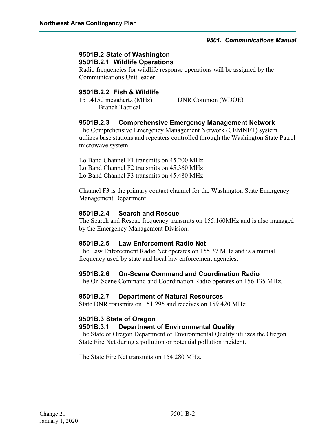#### <span id="page-26-1"></span><span id="page-26-0"></span>**9501B.2 State of Washington 9501B.2.1 Wildlife Operations**

Radio frequencies for wildlife response operations will be assigned by the Communications Unit leader.

#### <span id="page-26-2"></span>**9501B.2.2 Fish & Wildlife**

151.4150 megahertz (MHz) DNR Common (WDOE) Branch Tactical

#### <span id="page-26-3"></span>**9501B.2.3 Comprehensive Emergency Management Network**

The Comprehensive Emergency Management Network (CEMNET) system utilizes base stations and repeaters controlled through the Washington State Patrol microwave system.

Lo Band Channel F1 transmits on 45.200 MHz Lo Band Channel F2 transmits on 45.360 MHz Lo Band Channel F3 transmits on 45.480 MHz

Channel F3 is the primary contact channel for the Washington State Emergency Management Department.

#### <span id="page-26-4"></span>**9501B.2.4 Search and Rescue**

The Search and Rescue frequency transmits on 155.160MHz and is also managed by the Emergency Management Division.

#### <span id="page-26-5"></span>**9501B.2.5 Law Enforcement Radio Net**

The Law Enforcement Radio Net operates on 155.37 MHz and is a mutual frequency used by state and local law enforcement agencies.

#### <span id="page-26-6"></span>**9501B.2.6 On-Scene Command and Coordination Radio**

The On-Scene Command and Coordination Radio operates on 156.135 MHz.

#### <span id="page-26-7"></span>**9501B.2.7 Department of Natural Resources**

State DNR transmits on 151.295 and receives on 159.420 MHz.

#### <span id="page-26-8"></span>**9501B.3 State of Oregon**

#### <span id="page-26-9"></span>**9501B.3.1 Department of Environmental Quality**

The State of Oregon Department of Environmental Quality utilizes the Oregon State Fire Net during a pollution or potential pollution incident.

The State Fire Net transmits on 154.280 MHz.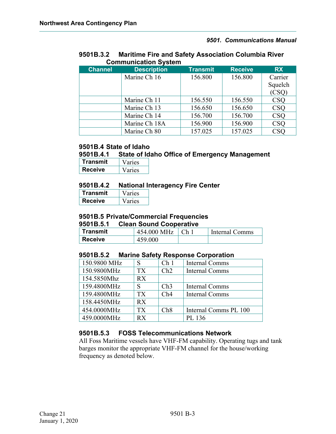#### <span id="page-27-0"></span>**9501B.3.2 Maritime Fire and Safety Association Columbia River Communication System**

| <b>Channel</b> | <b>Description</b> | <b>Transmit</b> | <b>Receive</b> | <b>RX</b>  |
|----------------|--------------------|-----------------|----------------|------------|
|                | Marine Ch 16       | 156.800         | 156.800        | Carrier    |
|                |                    |                 |                | Squelch    |
|                |                    |                 |                | (CSQ)      |
|                | Marine Ch 11       | 156.550         | 156.550        | <b>CSQ</b> |
|                | Marine Ch 13       | 156.650         | 156.650        | <b>CSQ</b> |
|                | Marine Ch 14       | 156.700         | 156.700        | <b>CSQ</b> |
|                | Marine Ch 18A      | 156.900         | 156.900        | <b>CSQ</b> |
|                | Marine Ch 80       | 157.025         | 157.025        | CSC        |

#### <span id="page-27-1"></span>**9501B.4 State of Idaho**

#### <span id="page-27-2"></span>**9501B.4.1 State of Idaho Office of Emergency Management**

| <u>I ransmit</u> | Varies |
|------------------|--------|
| <b>Receive</b>   | 'aries |

#### <span id="page-27-3"></span>**9501B.4.2 National Interagency Fire Center**

| Transmit       | aries |
|----------------|-------|
| <b>Receive</b> | aries |

#### <span id="page-27-4"></span>**9501B.5 Private/Commercial Frequencies**

#### <span id="page-27-5"></span>**9501B.5.1 Clean Sound Cooperative**

| Transmit       | 454.000 MHz | $\mathcal{L}_{h}$ | Internal Comms |
|----------------|-------------|-------------------|----------------|
| <b>Receive</b> | 459.000     |                   |                |

#### <span id="page-27-6"></span>**9501B.5.2 Marine Safety Response Corporation**

| 150.9800 MHz | S               | Ch <sub>1</sub> | Internal Comms        |
|--------------|-----------------|-----------------|-----------------------|
| 150.9800MHz  | TX.             | Ch2             | Internal Comms        |
| 154.5850Mhz  | RX              |                 |                       |
| 159.4800MHz  | S               | Ch3             | Internal Comms        |
| 159.4800MHz  | TX <sup>-</sup> | Ch4             | Internal Comms        |
| 158.4450MHz  | RX              |                 |                       |
| 454.0000MHz  | <b>TX</b>       | Ch8             | Internal Comms PL 100 |
| 459.0000MHz  | RX              |                 | PL 136                |

#### <span id="page-27-7"></span>**9501B.5.3 FOSS Telecommunications Network**

All Foss Maritime vessels have VHF-FM capability. Operating tugs and tank barges monitor the appropriate VHF-FM channel for the house/working frequency as denoted below.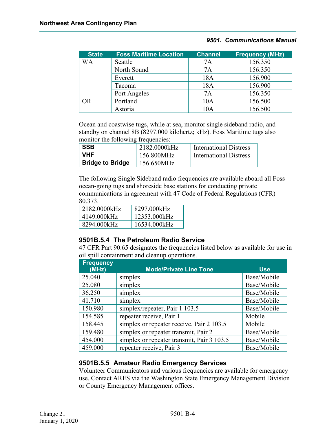| <b>State</b> | <b>Foss Maritime Location</b> | <b>Channel</b> | <b>Frequency (MHz)</b> |
|--------------|-------------------------------|----------------|------------------------|
| WА           | Seattle                       | 7A             | 156.350                |
|              | North Sound                   | 7Α             | 156.350                |
|              | Everett                       | 18A            | 156.900                |
|              | Tacoma                        | 18A            | 156.900                |
|              | Port Angeles                  | 7A             | 156.350                |
| OR           | Portland                      | 10A            | 156.500                |
|              | Astoria                       | 10A            | 156.500                |

Ocean and coastwise tugs, while at sea, monitor single sideband radio, and standby on channel 8B (8297.000 kilohertz; kHz). Foss Maritime tugs also monitor the following frequencies:

| <b>SSB</b>              | 2182.0000kHz | International Distress |
|-------------------------|--------------|------------------------|
| <b>VHF</b>              | 156.800MHz   | International Distress |
| <b>Bridge to Bridge</b> | 156.650MHz   |                        |

The following Single Sideband radio frequencies are available aboard all Foss ocean-going tugs and shoreside base stations for conducting private communications in agreement with 47 Code of Federal Regulations (CFR)

80.373.

| 2182.0000kHz | 8297.000kHz  |
|--------------|--------------|
| 4149.000kHz  | 12353.000kHz |
| 8294.000kHz  | 16534.000kHz |

#### <span id="page-28-0"></span>**9501B.5.4 The Petroleum Radio Service**

47 CFR Part 90.65 designates the frequencies listed below as available for use in oil spill containment and cleanup operations.

| <b>Frequency</b><br>(MHz) | <b>Mode/Private Line Tone</b>              | <b>Use</b>  |
|---------------------------|--------------------------------------------|-------------|
| 25.040                    | simplex                                    | Base/Mobile |
| 25.080                    | simplex                                    | Base/Mobile |
| 36.250                    | simplex                                    | Base/Mobile |
| 41.710                    | simplex                                    | Base/Mobile |
| 150.980                   | simplex/repeater, Pair 1 103.5             | Base/Mobile |
| 154.585                   | repeater receive, Pair 1                   | Mobile      |
| 158.445                   | simplex or repeater receive, Pair 2 103.5  | Mobile      |
| 159.480                   | simplex or repeater transmit, Pair 2       | Base/Mobile |
| 454.000                   | simplex or repeater transmit, Pair 3 103.5 | Base/Mobile |
| 459.000                   | repeater receive, Pair 3                   | Base/Mobile |

#### <span id="page-28-1"></span>**9501B.5.5 Amateur Radio Emergency Services**

Volunteer Communicators and various frequencies are available for emergency use. Contact ARES via the Washington State Emergency Management Division or County Emergency Management offices.